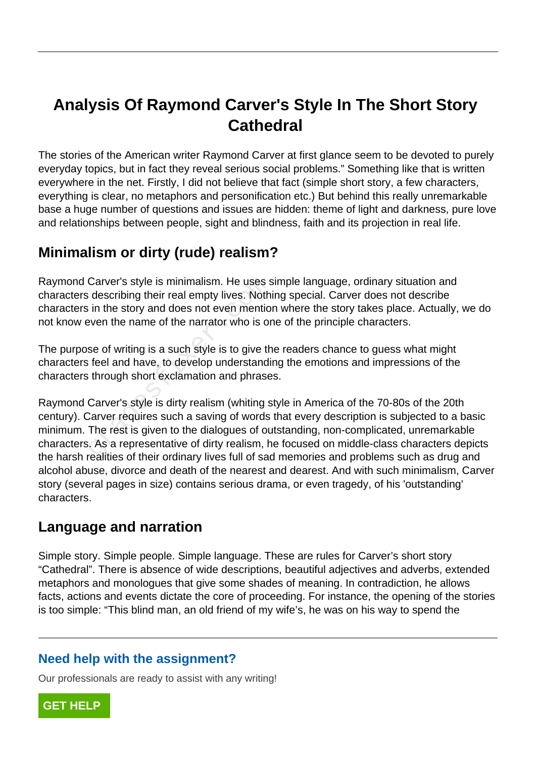# **Analysis Of Raymond Carver's Style In The Short Story Cathedral**

The stories of the American writer Raymond Carver at first glance seem to be devoted to purely everyday topics, but in fact they reveal serious social problems." Something like that is written everywhere in the net. Firstly, I did not believe that fact (simple short story, a few characters, everything is clear, no metaphors and personification etc.) But behind this really unremarkable base a huge number of questions and issues are hidden: theme of light and darkness, pure love and relationships between people, sight and blindness, faith and its projection in real life.

# **Minimalism or dirty (rude) realism?**

Raymond Carver's style is minimalism. He uses simple language, ordinary situation and characters describing their real empty lives. Nothing special. Carver does not describe characters in the story and does not even mention where the story takes place. Actually, we do not know even the name of the narrator who is one of the principle characters.

The purpose of writing is a such style is to give the readers chance to guess what might characters feel and have, to develop understanding the emotions and impressions of the characters through short exclamation and phrases.

Raymond Carver's style is dirty realism (whiting style in America of the 70-80s of the 20th century). Carver requires such a saving of words that every description is subjected to a basic minimum. The rest is given to the dialogues of outstanding, non-complicated, unremarkable characters. As a representative of dirty realism, he focused on middle-class characters depicts the harsh realities of their ordinary lives full of sad memories and problems such as drug and alcohol abuse, divorce and death of the nearest and dearest. And with such minimalism, Carver story (several pages in size) contains serious drama, or even tragedy, of his 'outstanding' characters. Carver's style is minimalism. He uses a<br>
describing their real empty lives. Noth<br>
in the story and does not even mentio<br>
even the name of the narrator who is or<br>
se of writing is a such style is to give the<br>
different of t

# **Language and narration**

Simple story. Simple people. Simple language. These are rules for Carver's short story "Cathedral". There is absence of wide descriptions, beautiful adjectives and adverbs, extended metaphors and monologues that give some shades of meaning. In contradiction, he allows facts, actions and events dictate the core of proceeding. For instance, the opening of the stories is too simple: "This blind man, an old friend of my wife's, he was on his way to spend the

### **Need help with the assignment?**

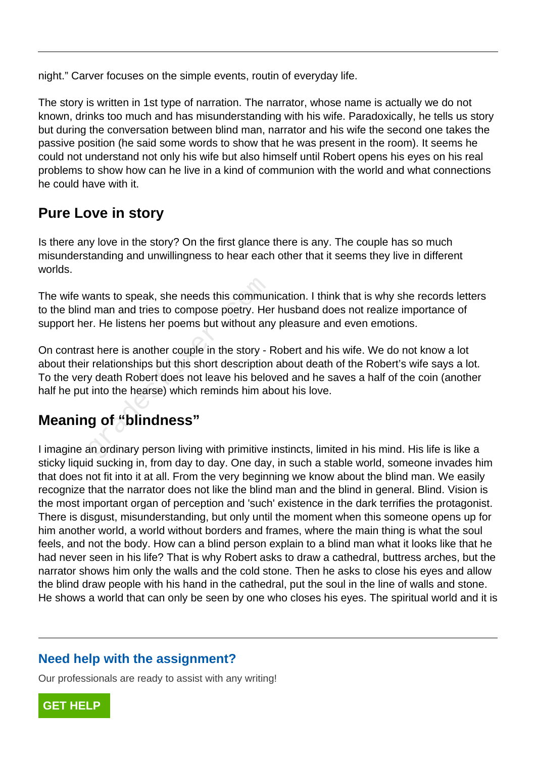night." Carver focuses on the simple events, routin of everyday life.

The story is written in 1st type of narration. The narrator, whose name is actually we do not known, drinks too much and has misunderstanding with his wife. Paradoxically, he tells us story but during the conversation between blind man, narrator and his wife the second one takes the passive position (he said some words to show that he was present in the room). It seems he could not understand not only his wife but also himself until Robert opens his eyes on his real problems to show how can he live in a kind of communion with the world and what connections he could have with it.

### **Pure Love in story**

Is there any love in the story? On the first glance there is any. The couple has so much misunderstanding and unwillingness to hear each other that it seems they live in different worlds.

The wife wants to speak, she needs this communication. I think that is why she records letters to the blind man and tries to compose poetry. Her husband does not realize importance of support her. He listens her poems but without any pleasure and even emotions.

On contrast here is another couple in the story - Robert and his wife. We do not know a lot about their relationships but this short description about death of the Robert's wife says a lot. To the very death Robert does not leave his beloved and he saves a half of the coin (another half he put into the hearse) which reminds him about his love. wants to speak, she needs this commund man and tries to compose poetry. He<br>pr. He listens her poems but without and<br>st here is another couple in the story - I<br>relationships but this short description<br>y death Robert does no

# **Meaning of "blindness"**

I imagine an ordinary person living with primitive instincts, limited in his mind. His life is like a sticky liquid sucking in, from day to day. One day, in such a stable world, someone invades him that does not fit into it at all. From the very beginning we know about the blind man. We easily recognize that the narrator does not like the blind man and the blind in general. Blind. Vision is the most important organ of perception and 'such' existence in the dark terrifies the protagonist. There is disgust, misunderstanding, but only until the moment when this someone opens up for him another world, a world without borders and frames, where the main thing is what the soul feels, and not the body. How can a blind person explain to a blind man what it looks like that he had never seen in his life? That is why Robert asks to draw a cathedral, buttress arches, but the narrator shows him only the walls and the cold stone. Then he asks to close his eyes and allow the blind draw people with his hand in the cathedral, put the soul in the line of walls and stone. He shows a world that can only be seen by one who closes his eyes. The spiritual world and it is

#### **Need help with the assignment?**

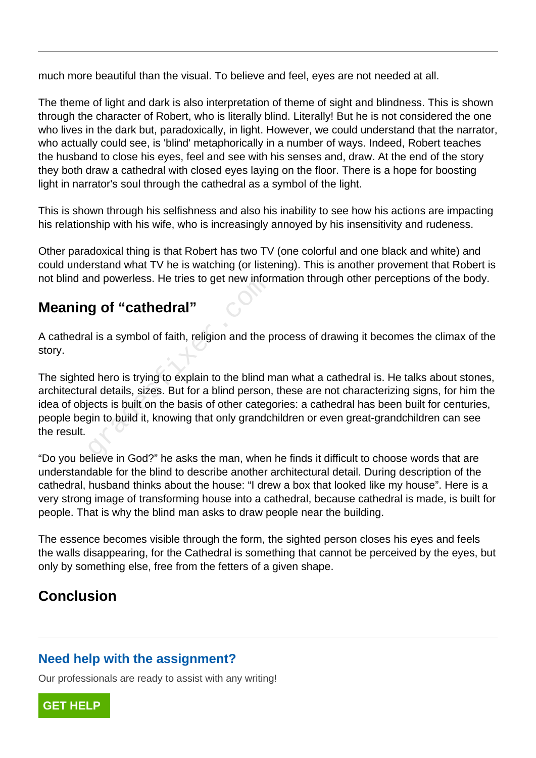much more beautiful than the visual. To believe and feel, eyes are not needed at all.

The theme of light and dark is also interpretation of theme of sight and blindness. This is shown through the character of Robert, who is literally blind. Literally! But he is not considered the one who lives in the dark but, paradoxically, in light. However, we could understand that the narrator, who actually could see, is 'blind' metaphorically in a number of ways. Indeed, Robert teaches the husband to close his eyes, feel and see with his senses and, draw. At the end of the story they both draw a cathedral with closed eyes laying on the floor. There is a hope for boosting light in narrator's soul through the cathedral as a symbol of the light.

This is shown through his selfishness and also his inability to see how his actions are impacting his relationship with his wife, who is increasingly annoyed by his insensitivity and rudeness.

Other paradoxical thing is that Robert has two TV (one colorful and one black and white) and could understand what TV he is watching (or listening). This is another provement that Robert is not blind and powerless. He tries to get new information through other perceptions of the body.

### **Meaning of "cathedral"**

A cathedral is a symbol of faith, religion and the process of drawing it becomes the climax of the story.

The sighted hero is trying to explain to the blind man what a cathedral is. He talks about stones, architectural details, sizes. But for a blind person, these are not characterizing signs, for him the idea of objects is built on the basis of other categories: a cathedral has been built for centuries, people begin to build it, knowing that only grandchildren or even great-grandchildren can see the result. **g of "cathedral"**<br>al is a symbol of faith, religion and the p<br>d hero is trying to explain to the blind n<br>al details, sizes. But for a blind person.<br>ects is built on the basis of other categ<br>gin to build it, knowing that o

"Do you believe in God?" he asks the man, when he finds it difficult to choose words that are understandable for the blind to describe another architectural detail. During description of the cathedral, husband thinks about the house: "I drew a box that looked like my house". Here is a very strong image of transforming house into a cathedral, because cathedral is made, is built for people. That is why the blind man asks to draw people near the building.

The essence becomes visible through the form, the sighted person closes his eyes and feels the walls disappearing, for the Cathedral is something that cannot be perceived by the eyes, but only by something else, free from the fetters of a given shape.

### **Conclusion**

#### **Need help with the assignment?**